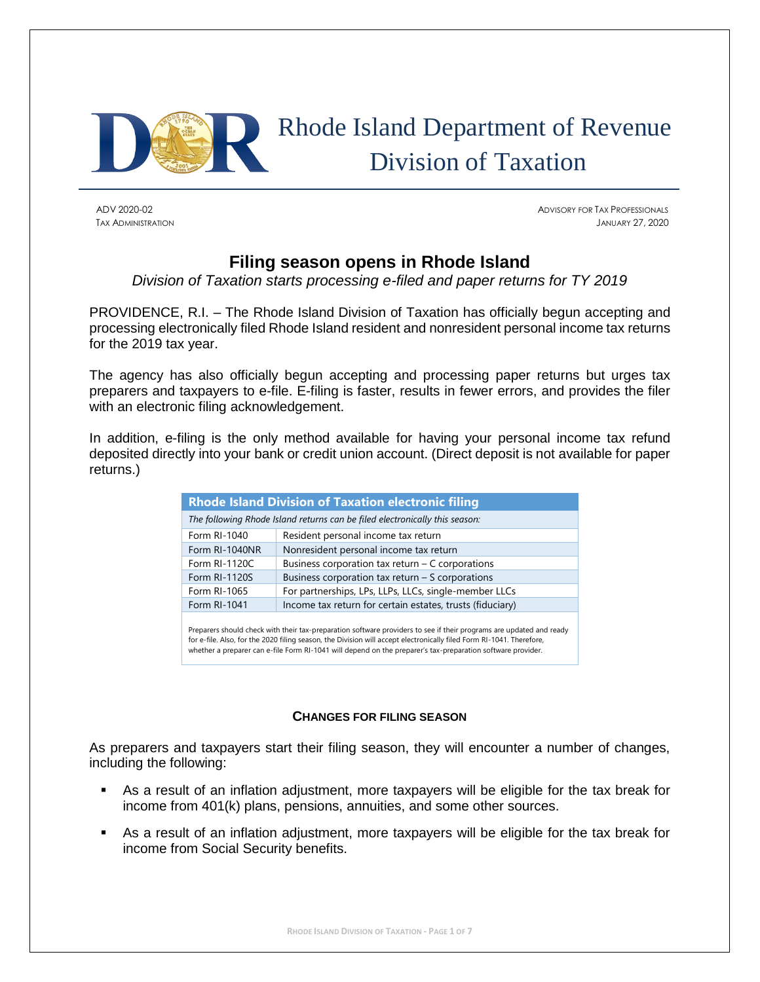

# Rhode Island Department of Revenue Division of Taxation

ADV 2020-02 ADVISORY FOR TAX PROFESSIONALS TAX ADMINISTRATION JANUARY 27, 2020

## **Filing season opens in Rhode Island**

*Division of Taxation starts processing e-filed and paper returns for TY 2019*

PROVIDENCE, R.I. – The Rhode Island Division of Taxation has officially begun accepting and processing electronically filed Rhode Island resident and nonresident personal income tax returns for the 2019 tax year.

The agency has also officially begun accepting and processing paper returns but urges tax preparers and taxpayers to e-file. E-filing is faster, results in fewer errors, and provides the filer with an electronic filing acknowledgement.

In addition, e-filing is the only method available for having your personal income tax refund deposited directly into your bank or credit union account. (Direct deposit is not available for paper returns.)

| <b>Rhode Island Division of Taxation electronic filing</b>                  |                                                           |  |  |  |
|-----------------------------------------------------------------------------|-----------------------------------------------------------|--|--|--|
| The following Rhode Island returns can be filed electronically this season: |                                                           |  |  |  |
| Form RI-1040                                                                | Resident personal income tax return                       |  |  |  |
| Form RI-1040NR                                                              | Nonresident personal income tax return                    |  |  |  |
| Form RI-1120C                                                               | Business corporation tax return $-$ C corporations        |  |  |  |
| <b>Form RI-1120S</b>                                                        | Business corporation tax return $-$ S corporations        |  |  |  |
| Form RI-1065                                                                | For partnerships, LPs, LLPs, LLCs, single-member LLCs     |  |  |  |
| Form RI-1041                                                                | Income tax return for certain estates, trusts (fiduciary) |  |  |  |
|                                                                             |                                                           |  |  |  |

Preparers should check with their tax-preparation software providers to see if their programs are updated and ready for e-file. Also, for the 2020 filing season, the Division will accept electronically filed Form RI-1041. Therefore, whether a preparer can e-file Form RI-1041 will depend on the preparer's tax-preparation software provider.

## **CHANGES FOR FILING SEASON**

As preparers and taxpayers start their filing season, they will encounter a number of changes, including the following:

- As a result of an inflation adjustment, more taxpayers will be eligible for the tax break for income from 401(k) plans, pensions, annuities, and some other sources.
- As a result of an inflation adjustment, more taxpayers will be eligible for the tax break for income from Social Security benefits.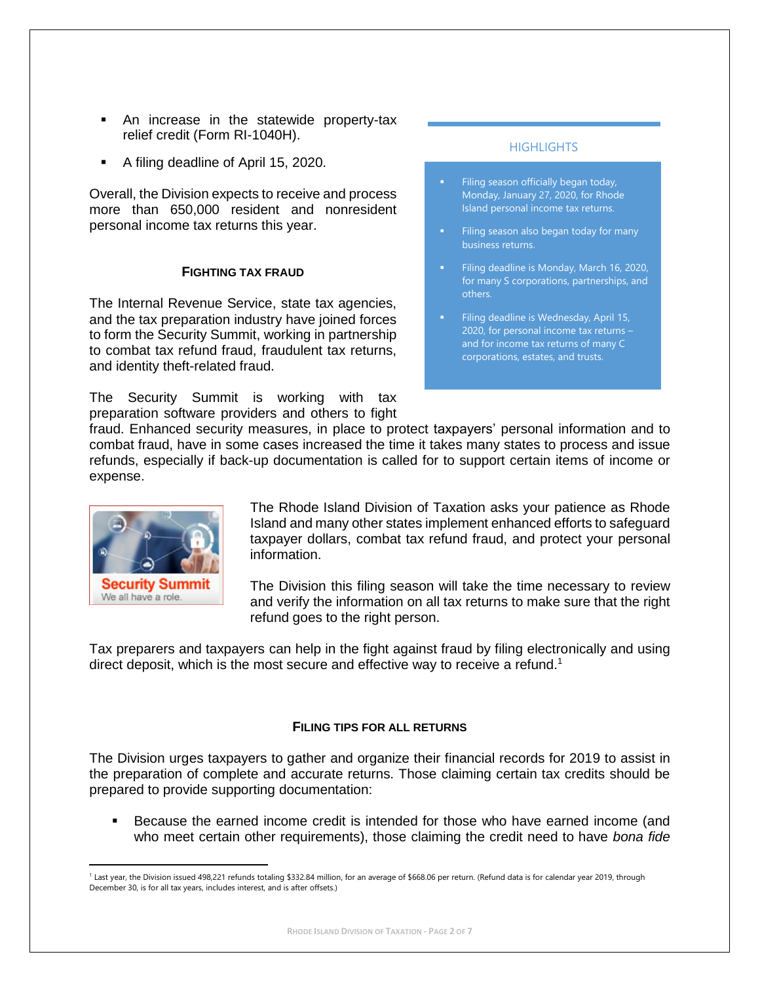- An increase in the statewide property-tax relief credit (Form RI-1040H).
- A filing deadline of April 15, 2020.

Overall, the Division expects to receive and process more than 650,000 resident and nonresident personal income tax returns this year.

#### **FIGHTING TAX FRAUD**

The Internal Revenue Service, state tax agencies, and the tax preparation industry have joined forces to form the Security Summit, working in partnership to combat tax refund fraud, fraudulent tax returns, and identity theft-related fraud.

The Security Summit is working with tax preparation software providers and others to fight

## HIGHI IGHTS

- Filing season officially began today, Monday, January 27, 2020, for Rhode Island personal income tax returns.
- Filing season also began today for many
- **EXECUTE:** Filing deadline is Monday, March 16, 2020, for many S corporations, partnerships, and others.
- Filing deadline is Wednesday, April 15, 2020, for personal income tax returns – and for income tax returns of many C corporations, estates, and trusts.

fraud. Enhanced security measures, in place to protect taxpayers' personal information and to combat fraud, have in some cases increased the time it takes many states to process and issue refunds, especially if back-up documentation is called for to support certain items of income or expense.



 $\overline{\phantom{a}}$ 

The Rhode Island Division of Taxation asks your patience as Rhode Island and many other states implement enhanced efforts to safeguard taxpayer dollars, combat tax refund fraud, and protect your personal information.

The Division this filing season will take the time necessary to review and verify the information on all tax returns to make sure that the right refund goes to the right person.

Tax preparers and taxpayers can help in the fight against fraud by filing electronically and using direct deposit, which is the most secure and effective way to receive a refund.<sup>1</sup>

## **FILING TIPS FOR ALL RETURNS**

The Division urges taxpayers to gather and organize their financial records for 2019 to assist in the preparation of complete and accurate returns. Those claiming certain tax credits should be prepared to provide supporting documentation:

Because the earned income credit is intended for those who have earned income (and who meet certain other requirements), those claiming the credit need to have *bona fide* 

<sup>1</sup> Last year, the Division issued 498,221 refunds totaling \$332.84 million, for an average of \$668.06 per return. (Refund data is for calendar year 2019, through December 30, is for all tax years, includes interest, and is after offsets.)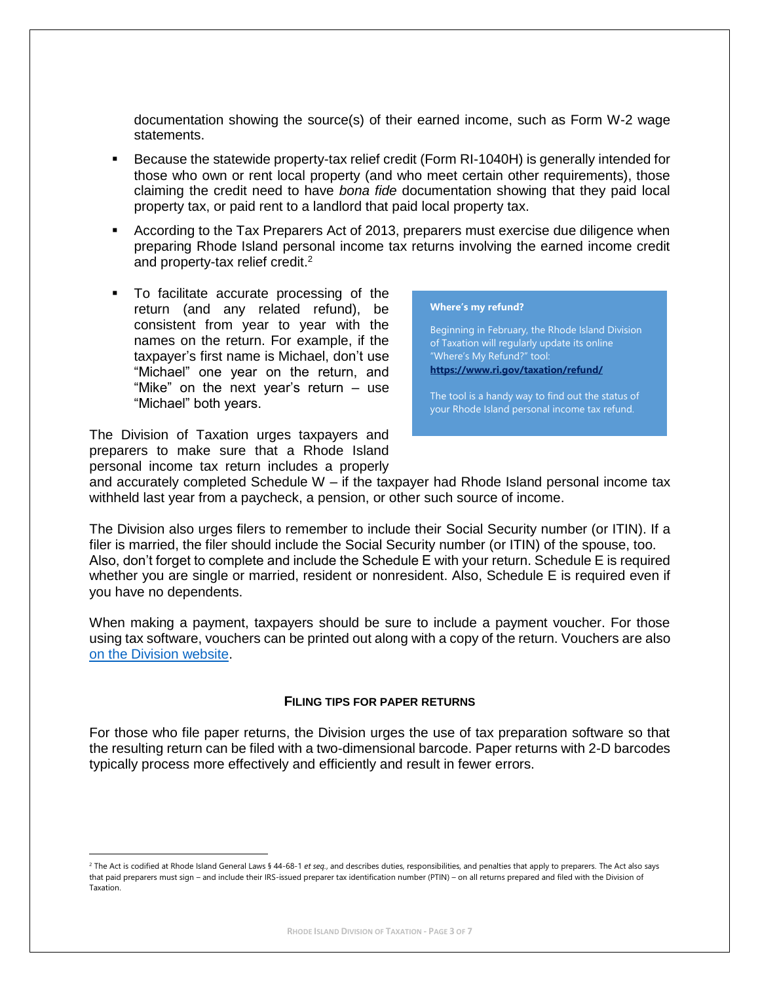documentation showing the source(s) of their earned income, such as Form W-2 wage statements.

- Because the statewide property-tax relief credit (Form RI-1040H) is generally intended for those who own or rent local property (and who meet certain other requirements), those claiming the credit need to have *bona fide* documentation showing that they paid local property tax, or paid rent to a landlord that paid local property tax.
- **EXE** According to the Tax Preparers Act of 2013, preparers must exercise due diligence when preparing Rhode Island personal income tax returns involving the earned income credit and property-tax relief credit.<sup>2</sup>
- To facilitate accurate processing of the return (and any related refund), be consistent from year to year with the names on the return. For example, if the taxpayer's first name is Michael, don't use "Michael" one year on the return, and "Mike" on the next year's return – use "Michael" both years.

The Division of Taxation urges taxpayers and preparers to make sure that a Rhode Island personal income tax return includes a properly

 $\overline{\phantom{a}}$ 

**Where's my refund?**

Beginning in February, the Rhode Island Division of Taxation will regularly update its online "Where's My Refund?" tool: **<https://www.ri.gov/taxation/refund/>**

The tool is a handy way to find out the status of your Rhode Island personal income tax refund.

and accurately completed Schedule W – if the taxpayer had Rhode Island personal income tax withheld last year from a paycheck, a pension, or other such source of income.

The Division also urges filers to remember to include their Social Security number (or ITIN). If a filer is married, the filer should include the Social Security number (or ITIN) of the spouse, too. Also, don't forget to complete and include the Schedule E with your return. Schedule E is required whether you are single or married, resident or nonresident. Also, Schedule E is required even if you have no dependents.

When making a payment, taxpayers should be sure to include a payment voucher. For those using tax software, vouchers can be printed out along with a copy of the return. Vouchers are also [on the Division website.](http://www.tax.ri.gov/forms/2019/Income/2019%20RI-1040V_m.pdf)

#### **FILING TIPS FOR PAPER RETURNS**

For those who file paper returns, the Division urges the use of tax preparation software so that the resulting return can be filed with a two-dimensional barcode. Paper returns with 2-D barcodes typically process more effectively and efficiently and result in fewer errors.

<sup>&</sup>lt;sup>2</sup> The Act is codified at Rhode Island General Laws § 44-68-1 *et seq.*, and describes duties, responsibilities, and penalties that apply to preparers. The Act also says that paid preparers must sign – and include their IRS-issued preparer tax identification number (PTIN) – on all returns prepared and filed with the Division of Taxation.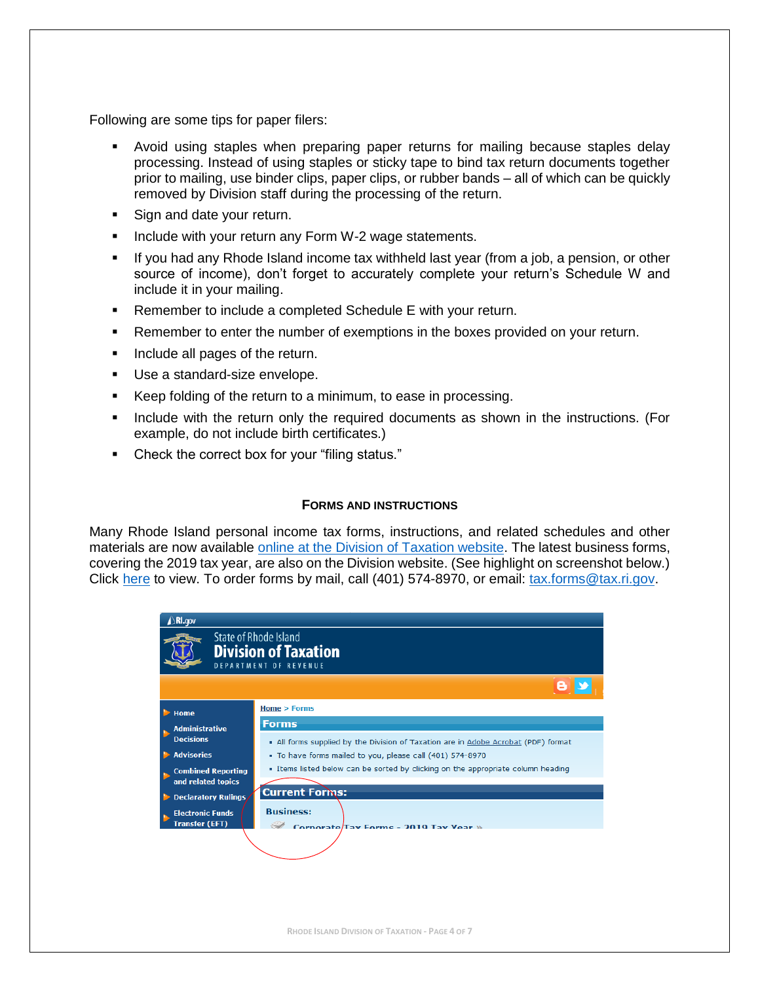Following are some tips for paper filers:

- Avoid using staples when preparing paper returns for mailing because staples delay processing. Instead of using staples or sticky tape to bind tax return documents together prior to mailing, use binder clips, paper clips, or rubber bands – all of which can be quickly removed by Division staff during the processing of the return.
- Sign and date your return.
- **EXEDENT** Include with your return any Form W-2 wage statements.
- **.** If you had any Rhode Island income tax withheld last year (from a job, a pension, or other source of income), don't forget to accurately complete your return's Schedule W and include it in your mailing.
- Remember to include a completed Schedule E with your return.
- **EXE** Remember to enter the number of exemptions in the boxes provided on your return.
- Include all pages of the return.
- Use a standard-size envelope.
- Keep folding of the return to a minimum, to ease in processing.
- **.** Include with the return only the required documents as shown in the instructions. (For example, do not include birth certificates.)
- Check the correct box for your "filing status."

## **FORMS AND INSTRUCTIONS**

Many Rhode Island personal income tax forms, instructions, and related schedules and other materials are now available [online at the Division of Taxation website.](http://www.tax.ri.gov/taxforms/personal.php) The latest business forms, covering the 2019 tax year, are also on the Division website. (See highlight on screenshot below.) Click [here](http://www.tax.ri.gov/taxforms/) to view. To order forms by mail, call (401) 574-8970, or email: [tax.forms@tax.ri.gov.](mailto:tax.forms@tax.ri.gov)

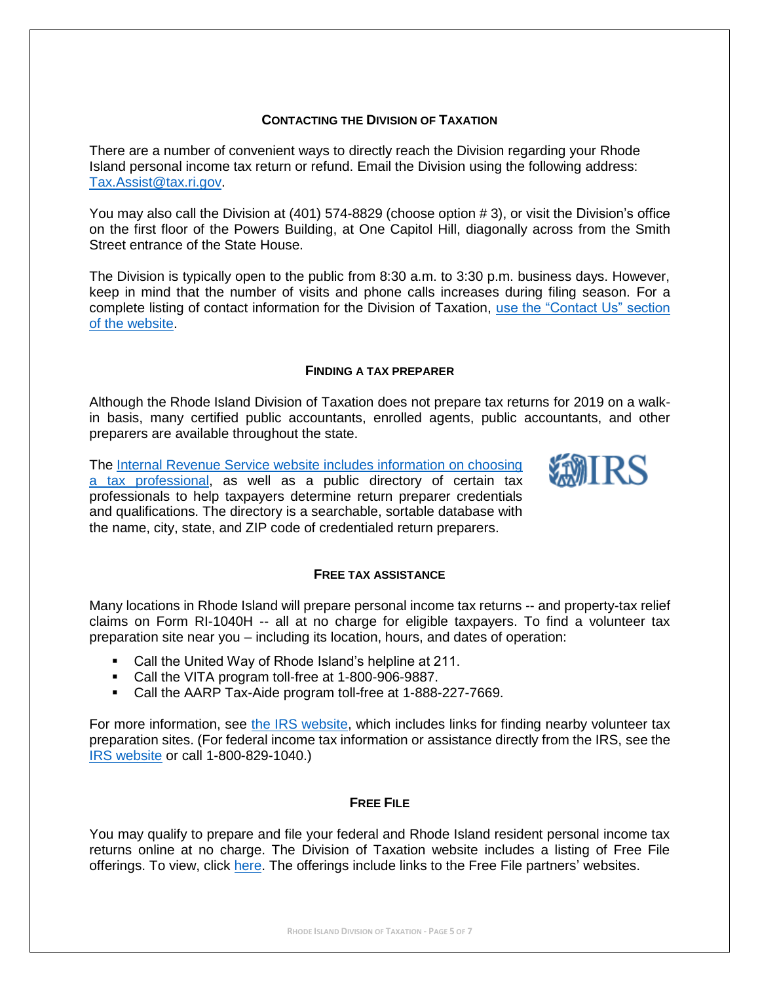## **CONTACTING THE DIVISION OF TAXATION**

There are a number of convenient ways to directly reach the Division regarding your Rhode Island personal income tax return or refund. Email the Division using the following address: [Tax.Assist@tax.ri.gov.](mailto:Tax.Assist@tax.ri.gov)

You may also call the Division at (401) 574-8829 (choose option # 3), or visit the Division's office on the first floor of the Powers Building, at One Capitol Hill, diagonally across from the Smith Street entrance of the State House.

The Division is typically open to the public from 8:30 a.m. to 3:30 p.m. business days. However, keep in mind that the number of visits and phone calls increases during filing season. For a complete listing of contact information for the Division of Taxation, [use the "Contact Us" section](http://www.tax.ri.gov/contact/)  [of the website.](http://www.tax.ri.gov/contact/)

## **FINDING A TAX PREPARER**

Although the Rhode Island Division of Taxation does not prepare tax returns for 2019 on a walkin basis, many certified public accountants, enrolled agents, public accountants, and other preparers are available throughout the state.

WIRS

The [Internal Revenue Service website includes information on choosing](https://www.irs.gov/tax-professionals/choosing-a-tax-professional)  [a tax professional,](https://www.irs.gov/tax-professionals/choosing-a-tax-professional) as well as a public directory of certain tax professionals to help taxpayers determine return preparer credentials and qualifications. The directory is a searchable, sortable database with the name, city, state, and ZIP code of credentialed return preparers.

## **FREE TAX ASSISTANCE**

Many locations in Rhode Island will prepare personal income tax returns -- and property-tax relief claims on Form RI-1040H -- all at no charge for eligible taxpayers. To find a volunteer tax preparation site near you – including its location, hours, and dates of operation:

- Call the United Way of Rhode Island's helpline at 211.
- Call the VITA program toll-free at 1-800-906-9887.
- Call the AARP Tax-Aide program toll-free at 1-888-227-7669.

For more information, see [the IRS website,](https://www.irs.gov/individuals/free-tax-return-preparation-for-you-by-volunteers) which includes links for finding nearby volunteer tax preparation sites. (For federal income tax information or assistance directly from the IRS, see the [IRS website](https://www.irs.gov/) or call 1-800-829-1040.)

## **FREE FILE**

You may qualify to prepare and file your federal and Rhode Island resident personal income tax returns online at no charge. The Division of Taxation website includes a listing of Free File offerings. To view, click [here.](http://www.tax.ri.gov/misc/efile.php) The offerings include links to the Free File partners' websites.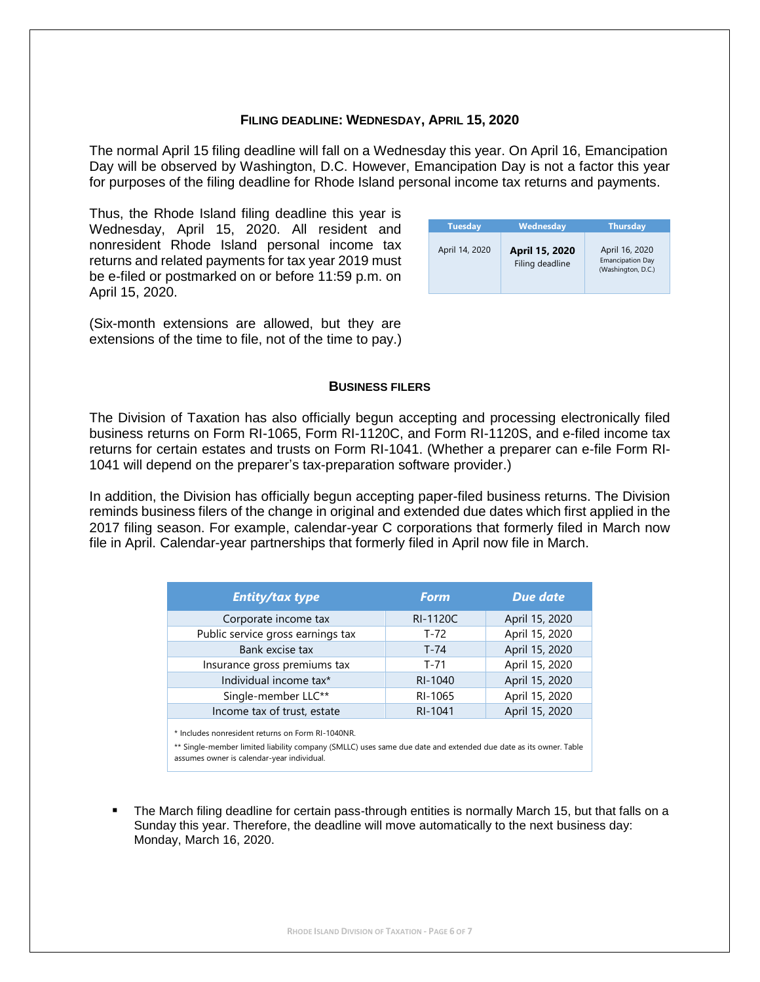#### **FILING DEADLINE: WEDNESDAY, APRIL 15, 2020**

The normal April 15 filing deadline will fall on a Wednesday this year. On April 16, Emancipation Day will be observed by Washington, D.C. However, Emancipation Day is not a factor this year for purposes of the filing deadline for Rhode Island personal income tax returns and payments.

Thus, the Rhode Island filing deadline this year is Wednesday, April 15, 2020. All resident and nonresident Rhode Island personal income tax returns and related payments for tax year 2019 must be e-filed or postmarked on or before 11:59 p.m. on April 15, 2020.

| <b>Tuesday</b> | Wednesday                         | <b>Thursday</b>                                                 |
|----------------|-----------------------------------|-----------------------------------------------------------------|
| April 14, 2020 | April 15, 2020<br>Filing deadline | April 16, 2020<br><b>Emancipation Day</b><br>(Washington, D.C.) |

(Six-month extensions are allowed, but they are extensions of the time to file, not of the time to pay.)

#### **BUSINESS FILERS**

The Division of Taxation has also officially begun accepting and processing electronically filed business returns on Form RI-1065, Form RI-1120C, and Form RI-1120S, and e-filed income tax returns for certain estates and trusts on Form RI-1041. (Whether a preparer can e-file Form RI-1041 will depend on the preparer's tax-preparation software provider.)

In addition, the Division has officially begun accepting paper-filed business returns. The Division reminds business filers of the change in original and extended due dates which first applied in the 2017 filing season. For example, calendar-year C corporations that formerly filed in March now file in April. Calendar-year partnerships that formerly filed in April now file in March.

| <b>Entity/tax type</b>                                                                                                                                               | <b>Form</b>     | <b>Due date</b> |  |  |
|----------------------------------------------------------------------------------------------------------------------------------------------------------------------|-----------------|-----------------|--|--|
| Corporate income tax                                                                                                                                                 | <b>RI-1120C</b> | April 15, 2020  |  |  |
| Public service gross earnings tax                                                                                                                                    | T-72            | April 15, 2020  |  |  |
| Bank excise tax                                                                                                                                                      | T-74            | April 15, 2020  |  |  |
| Insurance gross premiums tax                                                                                                                                         | $T - 71$        | April 15, 2020  |  |  |
| Individual income tax*                                                                                                                                               | RI-1040         | April 15, 2020  |  |  |
| Single-member LLC**                                                                                                                                                  | RI-1065         | April 15, 2020  |  |  |
| Income tax of trust, estate                                                                                                                                          | RI-1041         | April 15, 2020  |  |  |
| * Includes nonresident returns on Form RI-1040NR.<br>** Single-member limited liability company (SMLLC) uses same due date and extended due date as its owner. Table |                 |                 |  |  |

assumes owner is calendar-year individual.

The March filing deadline for certain pass-through entities is normally March 15, but that falls on a Sunday this year. Therefore, the deadline will move automatically to the next business day: Monday, March 16, 2020.